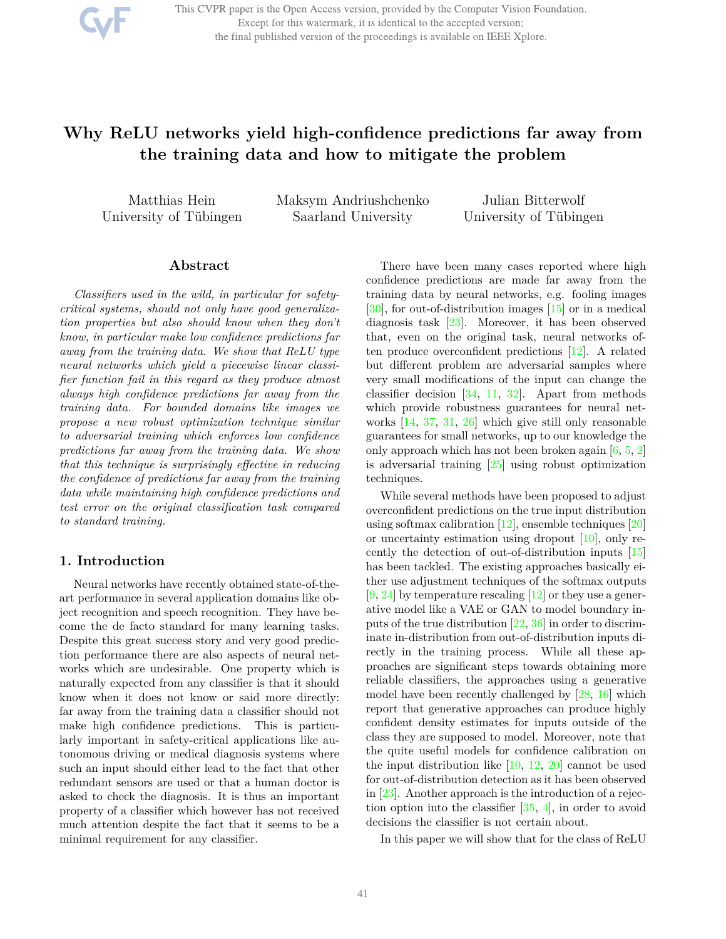This CVPR paper is the Open Access version, provided by the Computer Vision Foundation. Except for this watermark, it is identical to the accepted version; the final published version of the proceedings is available on IEEE Xplore.

# **Why ReLU networks yield high-confidence predictions far away from the training data and how to mitigate the problem**

Matthias Hein University of Tübingen Maksym Andriushchenko Saarland University

Julian Bitterwolf University of Tübingen

#### **Abstract**

*Classifiers used in the wild, in particular for safetycritical systems, should not only have good generalization properties but also should know when they don't know, in particular make low confidence predictions far away from the training data. We show that ReLU type neural networks which yield a piecewise linear classifier function fail in this regard as they produce almost always high confidence predictions far away from the training data. For bounded domains like images we propose a new robust optimization technique similar to adversarial training which enforces low confidence predictions far away from the training data. We show that this technique is surprisingly effective in reducing the confidence of predictions far away from the training data while maintaining high confidence predictions and test error on the original classification task compared to standard training.*

### **1. Introduction**

Neural networks have recently obtained state-of-theart performance in several application domains like object recognition and speech recognition. They have become the de facto standard for many learning tasks. Despite this great success story and very good prediction performance there are also aspects of neural networks which are undesirable. One property which is naturally expected from any classifier is that it should know when it does not know or said more directly: far away from the training data a classifier should not make high confidence predictions. This is particularly important in safety-critical applications like autonomous driving or medical diagnosis systems where such an input should either lead to the fact that other redundant sensors are used or that a human doctor is asked to check the diagnosis. It is thus an important property of a classifier which however has not received much attention despite the fact that it seems to be a minimal requirement for any classifier.

There have been many cases reported where high confidence predictions are made far away from the training data by neural networks, e.g. fooling images  $[30]$ , for out-of-distribution images  $[15]$  or in a medical diagnosis task [23]. Moreover, it has been observed that, even on the original task, neural networks often produce overconfident predictions [12]. A related but different problem are adversarial samples where very small modifications of the input can change the classifier decision  $[34, 11, 32]$ . Apart from methods which provide robustness guarantees for neural networks [14, 37, 31, 26] which give still only reasonable guarantees for small networks, up to our knowledge the only approach which has not been broken again  $[6, 5, 2]$ is adversarial training [25] using robust optimization techniques.

While several methods have been proposed to adjust overconfident predictions on the true input distribution using softmax calibration  $[12]$ , ensemble techniques  $[20]$ or uncertainty estimation using dropout [10], only recently the detection of out-of-distribution inputs [15] has been tackled. The existing approaches basically either use adjustment techniques of the softmax outputs  $[9, 24]$  by temperature rescaling  $[12]$  or they use a generative model like a VAE or GAN to model boundary inputs of the true distribution [22, 36] in order to discriminate in-distribution from out-of-distribution inputs directly in the training process. While all these approaches are significant steps towards obtaining more reliable classifiers, the approaches using a generative model have been recently challenged by [28, 16] which report that generative approaches can produce highly confident density estimates for inputs outside of the class they are supposed to model. Moreover, note that the quite useful models for confidence calibration on the input distribution like [10, 12, 20] cannot be used for out-of-distribution detection as it has been observed in [23]. Another approach is the introduction of a rejection option into the classifier [35, 4], in order to avoid decisions the classifier is not certain about.

In this paper we will show that for the class of ReLU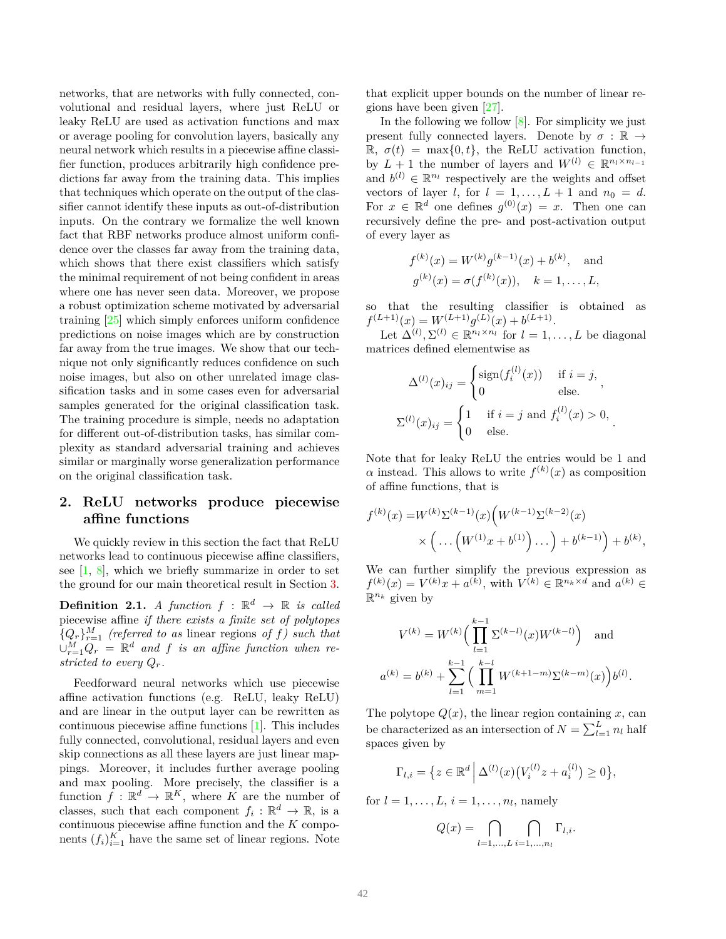networks, that are networks with fully connected, convolutional and residual layers, where just ReLU or leaky ReLU are used as activation functions and max or average pooling for convolution layers, basically any neural network which results in a piecewise affine classifier function, produces arbitrarily high confidence predictions far away from the training data. This implies that techniques which operate on the output of the classifier cannot identify these inputs as out-of-distribution inputs. On the contrary we formalize the well known fact that RBF networks produce almost uniform confidence over the classes far away from the training data, which shows that there exist classifiers which satisfy the minimal requirement of not being confident in areas where one has never seen data. Moreover, we propose a robust optimization scheme motivated by adversarial training [25] which simply enforces uniform confidence predictions on noise images which are by construction far away from the true images. We show that our technique not only significantly reduces confidence on such noise images, but also on other unrelated image classification tasks and in some cases even for adversarial samples generated for the original classification task. The training procedure is simple, needs no adaptation for different out-of-distribution tasks, has similar complexity as standard adversarial training and achieves similar or marginally worse generalization performance on the original classification task.

## **2. ReLU networks produce piecewise affine functions**

We quickly review in this section the fact that ReLU networks lead to continuous piecewise affine classifiers, see  $[1, 8]$ , which we briefly summarize in order to set the ground for our main theoretical result in Section 3.

**Definition 2.1.** *A function*  $f : \mathbb{R}^d \to \mathbb{R}$  *is called* piecewise affine *if there exists a finite set of polytopes*  ${Q_r}_{r=1}^M$  (referred to as linear regions of *f*) such that  $\cup_{r=1}^M Q_r = \mathbb{R}^d$  and *f* is an affine function when re*stricted to every Qr.*

Feedforward neural networks which use piecewise affine activation functions (e.g. ReLU, leaky ReLU) and are linear in the output layer can be rewritten as continuous piecewise affine functions [1]. This includes fully connected, convolutional, residual layers and even skip connections as all these layers are just linear mappings. Moreover, it includes further average pooling and max pooling. More precisely, the classifier is a function  $f: \mathbb{R}^d \to \mathbb{R}^K$ , where *K* are the number of classes, such that each component  $f_i: \mathbb{R}^d \to \mathbb{R}$ , is a continuous piecewise affine function and the *K* components  $(f_i)_{i=1}^K$  have the same set of linear regions. Note

that explicit upper bounds on the number of linear regions have been given [27].

In the following we follow [8]. For simplicity we just present fully connected layers. Denote by  $\sigma : \mathbb{R} \to$  $\mathbb{R}, \sigma(t) = \max\{0, t\},\$ the ReLU activation function, by  $L + 1$  the number of layers and  $W^{(l)} \in \mathbb{R}^{n_l \times n_{l-1}}$ and  $b^{(l)} \in \mathbb{R}^{n_l}$  respectively are the weights and offset vectors of layer *l*, for  $l = 1, \ldots, L + 1$  and  $n_0 = d$ . For  $x \in \mathbb{R}^d$  one defines  $g^{(0)}(x) = x$ . Then one can recursively define the pre- and post-activation output of every layer as

$$
f^{(k)}(x) = W^{(k)}g^{(k-1)}(x) + b^{(k)}, \text{ and}
$$
  

$$
g^{(k)}(x) = \sigma(f^{(k)}(x)), \quad k = 1, ..., L,
$$

so that the resulting classifier is obtained as  $f^{(L+1)}(x) = W^{(L+1)}g^{(L)}(x) + b^{(L+1)}.$ 

Let  $\Delta^{(l)}$ ,  $\Sigma^{(l)} \in \mathbb{R}^{n_l \times n_l}$  for  $l = 1, ..., L$  be diagonal matrices defined elementwise as

$$
\Delta^{(l)}(x)_{ij} = \begin{cases}\n\text{sign}(f_i^{(l)}(x)) & \text{if } i = j, \\
0 & \text{else.} \n\end{cases},
$$
\n
$$
\Sigma^{(l)}(x)_{ij} = \begin{cases}\n1 & \text{if } i = j \text{ and } f_i^{(l)}(x) > 0, \\
0 & \text{else.} \n\end{cases}.
$$

Note that for leaky ReLU the entries would be 1 and  $\alpha$  instead. This allows to write  $f^{(k)}(x)$  as composition of affine functions, that is

$$
f^{(k)}(x) = W^{(k)} \Sigma^{(k-1)}(x) \Big( W^{(k-1)} \Sigma^{(k-2)}(x)
$$
  
 
$$
\times \Big( \dots \Big( W^{(1)} x + b^{(1)} \Big) \dots \Big) + b^{(k-1)} \Big) + b^{(k)},
$$

We can further simplify the previous expression as  $f^{(k)}(x) = V^{(k)}x + a^{(k)}$ , with  $V^{(k)} \in \mathbb{R}^{n_k \times d}$  and  $a^{(k)} \in$  $\mathbb{R}^{n_k}$  given by

$$
V^{(k)} = W^{(k)} \Big( \prod_{l=1}^{k-1} \Sigma^{(k-l)}(x) W^{(k-l)} \Big) \text{ and}
$$

$$
a^{(k)} = b^{(k)} + \sum_{l=1}^{k-1} \Big( \prod_{m=1}^{k-l} W^{(k+1-m)} \Sigma^{(k-m)}(x) \Big) b^{(l)}.
$$

The polytope  $Q(x)$ , the linear region containing  $x$ , can be characterized as an intersection of  $N = \sum_{l=1}^{L} n_l$  half spaces given by

$$
\Gamma_{l,i} = \{ z \in \mathbb{R}^d \, \Big| \, \Delta^{(l)}(x) \big( V_i^{(l)} z + a_i^{(l)} \big) \ge 0 \},
$$

for  $l = 1, \ldots, L, i = 1, \ldots, n_l$ , namely

$$
Q(x) = \bigcap_{l=1,\dots,L} \bigcap_{i=1,\dots,n_l} \Gamma_{l,i}.
$$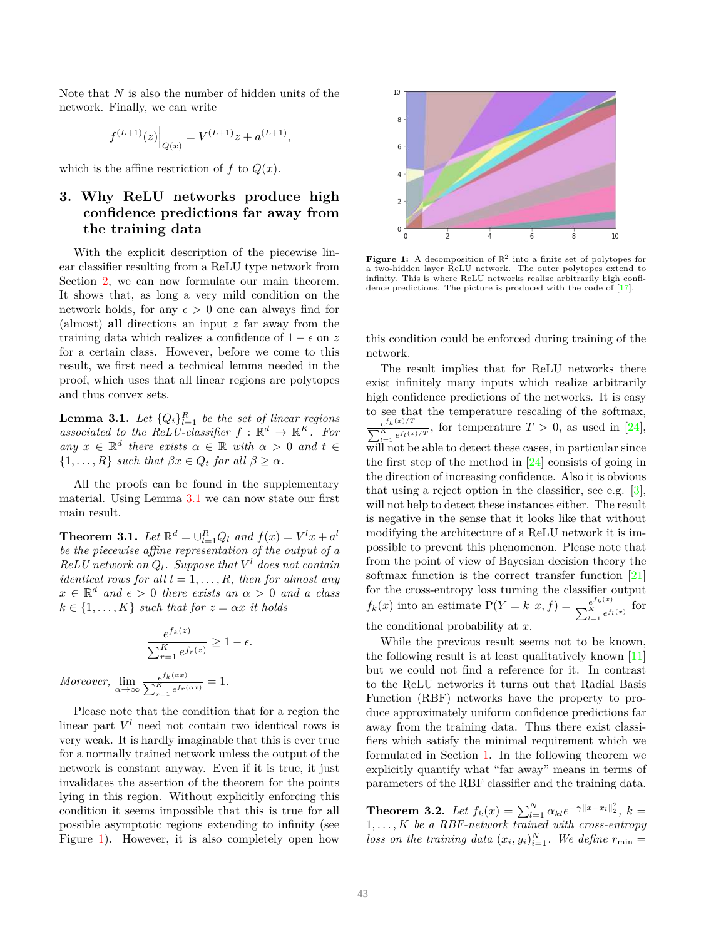Note that *N* is also the number of hidden units of the network. Finally, we can write

$$
f^{(L+1)}(z)\Big|_{Q(x)} = V^{(L+1)}z + a^{(L+1)},
$$

which is the affine restriction of  $f$  to  $Q(x)$ .

# **3. Why ReLU networks produce high confidence predictions far away from the training data**

With the explicit description of the piecewise linear classifier resulting from a ReLU type network from Section 2, we can now formulate our main theorem. It shows that, as long a very mild condition on the network holds, for any  $\epsilon > 0$  one can always find for (almost) **all** directions an input *z* far away from the training data which realizes a confidence of  $1 - \epsilon$  on z for a certain class. However, before we come to this result, we first need a technical lemma needed in the proof, which uses that all linear regions are polytopes and thus convex sets.

**Lemma 3.1.** Let  $\{Q_i\}_{i=1}^R$  be the set of linear regions *associated to the ReLU-classifier*  $f : \mathbb{R}^d \to \mathbb{R}^K$ *. For*  $any \; x \in \mathbb{R}^d$  *there exists*  $\alpha \in \mathbb{R}$  *with*  $\alpha > 0$  *and*  $t \in$  $\{1, \ldots, R\}$  *such that*  $\beta x \in Q_t$  *for all*  $\beta \geq \alpha$ *.* 

All the proofs can be found in the supplementary material. Using Lemma 3.1 we can now state our first main result.

**Theorem 3.1.** *Let*  $\mathbb{R}^d = \bigcup_{l=1}^R Q_l$  *and*  $f(x) = V^l x + a^l$ *be the piecewise affine representation of the output of a*  $ReLU$  *network on*  $Q_l$ *. Suppose that*  $V^l$  *does not contain identical rows for all*  $l = 1, \ldots, R$ *, then for almost any*  $x \in \mathbb{R}^d$  *and*  $\epsilon > 0$  *there exists an*  $\alpha > 0$  *and a class*  $k \in \{1, \ldots, K\}$  *such that for*  $z = \alpha x$  *it holds* 

$$
\frac{e^{f_k(z)}}{\sum_{r=1}^K e^{f_r(z)}} \ge 1 - \epsilon.
$$
  
over, 
$$
\lim_{\alpha \to \infty} \frac{e^{f_k(\alpha x)}}{\sum_{r=1}^K e^{f_r(\alpha x)}} = 1.
$$

*More* 

Please note that the condition that for a region the linear part  $V^l$  need not contain two identical rows is very weak. It is hardly imaginable that this is ever true for a normally trained network unless the output of the network is constant anyway. Even if it is true, it just invalidates the assertion of the theorem for the points lying in this region. Without explicitly enforcing this condition it seems impossible that this is true for all possible asymptotic regions extending to infinity (see Figure 1). However, it is also completely open how



**Figure 1:** A decomposition of  $\mathbb{R}^2$  into a finite set of polytopes for a two-hidden layer ReLU network. The outer polytopes extend to infinity. This is where ReLU networks realize arbitrarily high confidence predictions. The picture is produced with the code of [17].

this condition could be enforced during training of the network.

The result implies that for ReLU networks there exist infinitely many inputs which realize arbitrarily high confidence predictions of the networks. It is easy to see that the temperature rescaling of the softmax,  $e^{f_k(x)/T}$  $\frac{e^{ik(x)}-1}{\sum_{l=1}^K e^{f_l(x)/T}}$ , for temperature  $T > 0$ , as used in [24], will not be able to detect these cases, in particular since the first step of the method in [24] consists of going in the direction of increasing confidence. Also it is obvious that using a reject option in the classifier, see e.g.  $[3]$ , will not help to detect these instances either. The result is negative in the sense that it looks like that without modifying the architecture of a ReLU network it is impossible to prevent this phenomenon. Please note that from the point of view of Bayesian decision theory the softmax function is the correct transfer function [21] for the cross-entropy loss turning the classifier output  $f_k(x)$  into an estimate  $P(Y = k | x, f) = \frac{e^{f_k(x)}}{\sum_{k=1}^{K} f_k(x)}$  $\frac{e^{j k(x)}}{\sum_{l=1}^{K} e^{f_l(x)}}$  for

the conditional probability at *x*.

While the previous result seems not to be known, the following result is at least qualitatively known [11] but we could not find a reference for it. In contrast to the ReLU networks it turns out that Radial Basis Function (RBF) networks have the property to produce approximately uniform confidence predictions far away from the training data. Thus there exist classifiers which satisfy the minimal requirement which we formulated in Section 1. In the following theorem we explicitly quantify what "far away" means in terms of parameters of the RBF classifier and the training data.

**Theorem 3.2.** *Let*  $f_k(x) = \sum_{l=1}^{N} \alpha_{kl} e^{-\gamma ||x-x_l||_2^2}, k =$ 1*, . . . , K be a RBF-network trained with cross-entropy loss on the training data*  $(x_i, y_i)_{i=1}^N$ . We define  $r_{\min} =$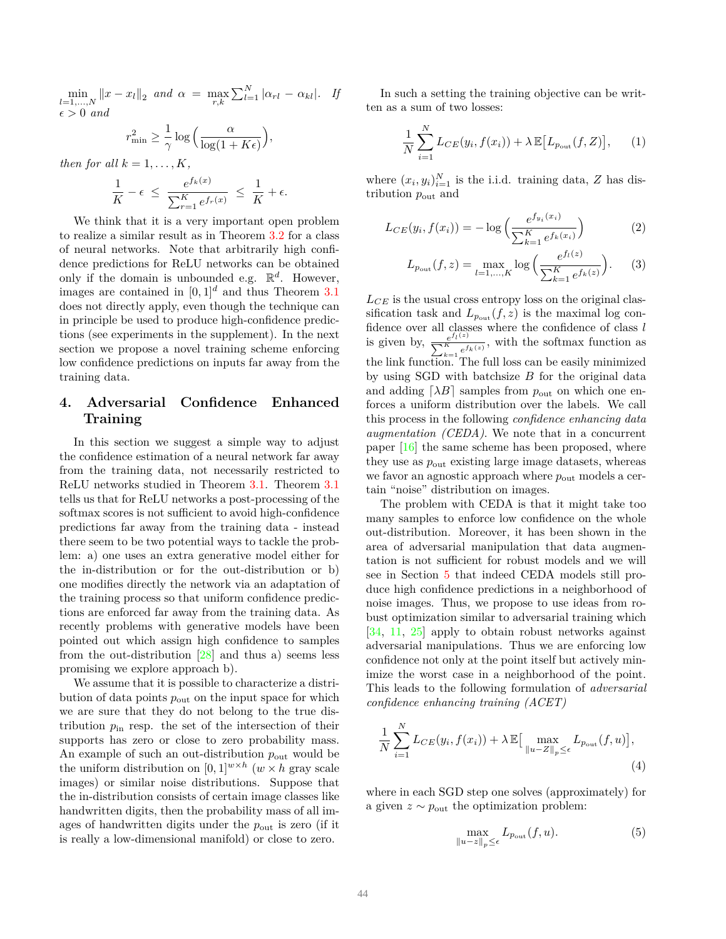$\min_{l=1,...,N} ||x - x_l||_2$  and  $\alpha = \max_{r,k} \sum_{l=1}^{N} |\alpha_{rl} - \alpha_{kl}|$ . If  $\epsilon > 0$  *and* 

$$
r_{\min}^2 \ge \frac{1}{\gamma} \log \left( \frac{\alpha}{\log(1 + K\epsilon)} \right),\,
$$

*then for all*  $k = 1, \ldots, K$ *,* 

$$
\frac{1}{K} - \epsilon \le \frac{e^{f_k(x)}}{\sum_{r=1}^K e^{f_r(x)}} \le \frac{1}{K} + \epsilon.
$$

We think that it is a very important open problem to realize a similar result as in Theorem 3.2 for a class of neural networks. Note that arbitrarily high confidence predictions for ReLU networks can be obtained only if the domain is unbounded e.g.  $\mathbb{R}^d$ . However, images are contained in  $[0, 1]^d$  and thus Theorem 3.1 does not directly apply, even though the technique can in principle be used to produce high-confidence predictions (see experiments in the supplement). In the next section we propose a novel training scheme enforcing low confidence predictions on inputs far away from the training data.

### **4. Adversarial Confidence Enhanced Training**

In this section we suggest a simple way to adjust the confidence estimation of a neural network far away from the training data, not necessarily restricted to ReLU networks studied in Theorem 3.1. Theorem 3.1 tells us that for ReLU networks a post-processing of the softmax scores is not sufficient to avoid high-confidence predictions far away from the training data - instead there seem to be two potential ways to tackle the problem: a) one uses an extra generative model either for the in-distribution or for the out-distribution or b) one modifies directly the network via an adaptation of the training process so that uniform confidence predictions are enforced far away from the training data. As recently problems with generative models have been pointed out which assign high confidence to samples from the out-distribution  $[28]$  and thus a) seems less promising we explore approach b).

We assume that it is possible to characterize a distribution of data points  $p_{\text{out}}$  on the input space for which we are sure that they do not belong to the true distribution  $p_{\text{in}}$  resp. the set of the intersection of their supports has zero or close to zero probability mass. An example of such an out-distribution  $p_{\text{out}}$  would be the uniform distribution on  $[0,1]^{w \times h}$   $(w \times h)$  gray scale images) or similar noise distributions. Suppose that the in-distribution consists of certain image classes like handwritten digits, then the probability mass of all images of handwritten digits under the *p*out is zero (if it is really a low-dimensional manifold) or close to zero.

In such a setting the training objective can be written as a sum of two losses:

$$
\frac{1}{N} \sum_{i=1}^{N} L_{CE}(y_i, f(x_i)) + \lambda \mathbb{E}[L_{p_{\text{out}}}(f, Z)], \qquad (1)
$$

where  $(x_i, y_i)_{i=1}^N$  is the i.i.d. training data, *Z* has distribution  $p_{\text{out}}$  and

$$
L_{CE}(y_i, f(x_i)) = -\log\left(\frac{e^{f_{y_i}(x_i)}}{\sum_{k=1}^{K} e^{f_k(x_i)}}\right)
$$
 (2)

$$
L_{p_{\text{out}}}(f,z) = \max_{l=1,\dots,K} \log \left( \frac{e^{f_l(z)}}{\sum_{k=1}^K e^{f_k(z)}} \right). \tag{3}
$$

*LCE* is the usual cross entropy loss on the original classification task and  $L_{p_{\text{out}}}(f, z)$  is the maximal log confidence over all classes where the confidence of class *l* is given by,  $\frac{e^{f_l(z)}}{\sum_{K}^{K} f_l(z)}$  $\sum_{k=1}^{\mathcal{C}^{H}} e^{f_k(z)}$ , with the softmax function as the link function. The full loss can be easily minimized by using SGD with batchsize *B* for the original data and adding  $[\lambda B]$  samples from  $p_{\text{out}}$  on which one enforces a uniform distribution over the labels. We call this process in the following *confidence enhancing data augmentation (CEDA)*. We note that in a concurrent paper [16] the same scheme has been proposed, where they use as *p*out existing large image datasets, whereas we favor an agnostic approach where  $p_{\text{out}}$  models a certain "noise" distribution on images.

The problem with CEDA is that it might take too many samples to enforce low confidence on the whole out-distribution. Moreover, it has been shown in the area of adversarial manipulation that data augmentation is not sufficient for robust models and we will see in Section 5 that indeed CEDA models still produce high confidence predictions in a neighborhood of noise images. Thus, we propose to use ideas from robust optimization similar to adversarial training which [34, 11, 25] apply to obtain robust networks against adversarial manipulations. Thus we are enforcing low confidence not only at the point itself but actively minimize the worst case in a neighborhood of the point. This leads to the following formulation of *adversarial confidence enhancing training (ACET)*

$$
\frac{1}{N} \sum_{i=1}^{N} L_{CE}(y_i, f(x_i)) + \lambda \mathbb{E} \Big[ \max_{\|u - Z\|_p \le \epsilon} L_{p_{\text{out}}}(f, u) \Big],
$$
\n(4)

where in each SGD step one solves (approximately) for a given  $z \sim p_{\text{out}}$  the optimization problem:

$$
\max_{\|u-z\|_p \le \epsilon} L_{p_{\text{out}}}(f, u). \tag{5}
$$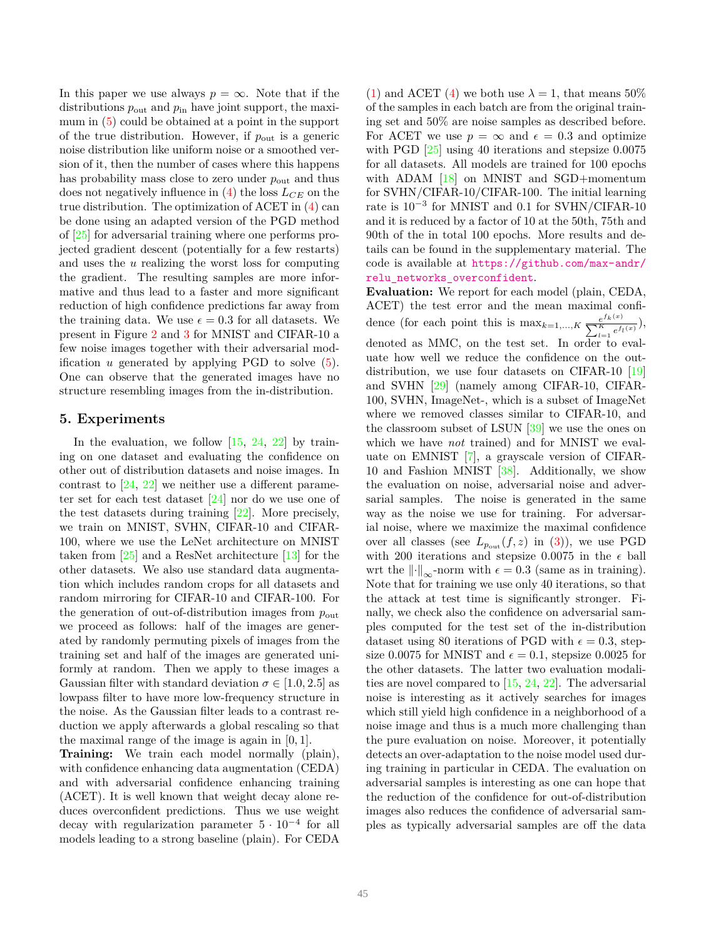In this paper we use always  $p = \infty$ . Note that if the distributions  $p_{\text{out}}$  and  $p_{\text{in}}$  have joint support, the maximum in (5) could be obtained at a point in the support of the true distribution. However, if *p*out is a generic noise distribution like uniform noise or a smoothed version of it, then the number of cases where this happens has probability mass close to zero under  $p_{\text{out}}$  and thus does not negatively influence in (4) the loss *LCE* on the true distribution. The optimization of ACET in (4) can be done using an adapted version of the PGD method of [25] for adversarial training where one performs projected gradient descent (potentially for a few restarts) and uses the *u* realizing the worst loss for computing the gradient. The resulting samples are more informative and thus lead to a faster and more significant reduction of high confidence predictions far away from the training data. We use  $\epsilon = 0.3$  for all datasets. We present in Figure 2 and 3 for MNIST and CIFAR-10 a few noise images together with their adversarial modification *u* generated by applying PGD to solve (5). One can observe that the generated images have no structure resembling images from the in-distribution.

### **5. Experiments**

In the evaluation, we follow  $[15, 24, 22]$  by training on one dataset and evaluating the confidence on other out of distribution datasets and noise images. In contrast to [24, 22] we neither use a different parameter set for each test dataset [24] nor do we use one of the test datasets during training [22]. More precisely, we train on MNIST, SVHN, CIFAR-10 and CIFAR-100, where we use the LeNet architecture on MNIST taken from [25] and a ResNet architecture [13] for the other datasets. We also use standard data augmentation which includes random crops for all datasets and random mirroring for CIFAR-10 and CIFAR-100. For the generation of out-of-distribution images from *p*out we proceed as follows: half of the images are generated by randomly permuting pixels of images from the training set and half of the images are generated uniformly at random. Then we apply to these images a Gaussian filter with standard deviation  $\sigma \in [1.0, 2.5]$  as lowpass filter to have more low-frequency structure in the noise. As the Gaussian filter leads to a contrast reduction we apply afterwards a global rescaling so that the maximal range of the image is again in [0*,* 1].

**Training:** We train each model normally (plain), with confidence enhancing data augmentation (CEDA) and with adversarial confidence enhancing training (ACET). It is well known that weight decay alone reduces overconfident predictions. Thus we use weight decay with regularization parameter  $5 \cdot 10^{-4}$  for all models leading to a strong baseline (plain). For CEDA

(1) and ACET (4) we both use  $\lambda = 1$ , that means 50% of the samples in each batch are from the original training set and 50% are noise samples as described before. For ACET we use  $p = \infty$  and  $\epsilon = 0.3$  and optimize with PGD [25] using 40 iterations and stepsize 0*.*0075 for all datasets. All models are trained for 100 epochs with ADAM [18] on MNIST and SGD+momentum for SVHN/CIFAR-10/CIFAR-100. The initial learning rate is 10−<sup>3</sup> for MNIST and 0*.*1 for SVHN/CIFAR-10 and it is reduced by a factor of 10 at the 50th, 75th and 90th of the in total 100 epochs. More results and details can be found in the supplementary material. The code is available at https://github.com/max-andr/ relu\_networks\_overconfident.

**Evaluation:** We report for each model (plain, CEDA, ACET) the test error and the mean maximal confidence (for each point this is  $\max_{k=1,\dots,K} \frac{e^{f_k(x)}}{\sum_{k=1}^{K} f_k(x)}$  $\frac{e^{j k(x)}}{\sum_{l=1}^{K} e^{f_l(x)}}$ denoted as MMC, on the test set. In order to evaluate how well we reduce the confidence on the outdistribution, we use four datasets on CIFAR-10 [19] and SVHN [29] (namely among CIFAR-10, CIFAR-100, SVHN, ImageNet-, which is a subset of ImageNet where we removed classes similar to CIFAR-10, and the classroom subset of LSUN [39] we use the ones on which we have *not* trained) and for MNIST we evaluate on EMNIST [7], a grayscale version of CIFAR-10 and Fashion MNIST [38]. Additionally, we show the evaluation on noise, adversarial noise and adversarial samples. The noise is generated in the same way as the noise we use for training. For adversarial noise, where we maximize the maximal confidence over all classes (see  $L_{p_{\text{out}}}(f, z)$  in (3)), we use PGD with 200 iterations and stepsize 0.0075 in the  $\epsilon$  ball wrt the  $\left\| \cdot \right\|_{\infty}$ -norm with  $\epsilon = 0.3$  (same as in training). Note that for training we use only 40 iterations, so that the attack at test time is significantly stronger. Finally, we check also the confidence on adversarial samples computed for the test set of the in-distribution dataset using 80 iterations of PGD with  $\epsilon = 0.3$ , stepsize 0.0075 for MNIST and  $\epsilon = 0.1$ , stepsize 0.0025 for the other datasets. The latter two evaluation modalities are novel compared to  $[15, 24, 22]$ . The adversarial noise is interesting as it actively searches for images which still yield high confidence in a neighborhood of a noise image and thus is a much more challenging than the pure evaluation on noise. Moreover, it potentially detects an over-adaptation to the noise model used during training in particular in CEDA. The evaluation on adversarial samples is interesting as one can hope that the reduction of the confidence for out-of-distribution images also reduces the confidence of adversarial samples as typically adversarial samples are off the data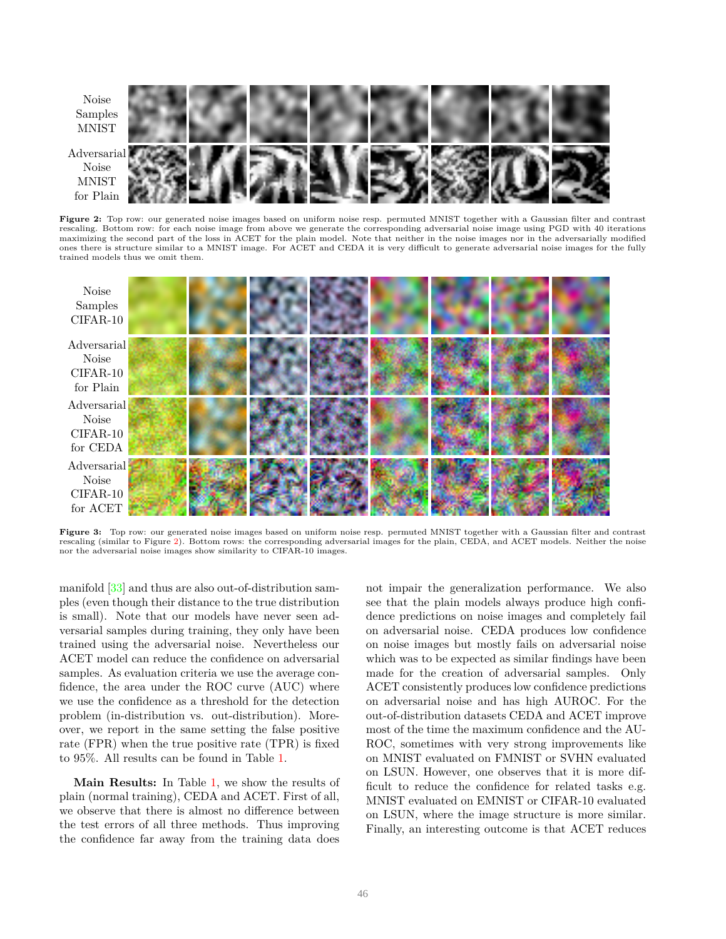

Figure 2: Top row: our generated noise images based on uniform noise resp. permuted MNIST together with a Gaussian filter and contrast rescaling. Bottom row: for each noise image from above we generate the corresponding adversarial noise image using PGD with 40 iterations maximizing the second part of the loss in ACET for the plain model. Note that neither in the noise images nor in the adversarially modified ones there is structure similar to a MNIST image. For ACET and CEDA it is very difficult to generate adversarial noise images for the fully trained models thus we omit them.



Figure 3: Top row: our generated noise images based on uniform noise resp. permuted MNIST together with a Gaussian filter and contrast rescaling (similar to Figure 2). Bottom rows: the corresponding adversarial images for the plain, CEDA, and ACET models. Neither the noise nor the adversarial noise images show similarity to CIFAR-10 images.

manifold [33] and thus are also out-of-distribution samples (even though their distance to the true distribution is small). Note that our models have never seen adversarial samples during training, they only have been trained using the adversarial noise. Nevertheless our ACET model can reduce the confidence on adversarial samples. As evaluation criteria we use the average confidence, the area under the ROC curve (AUC) where we use the confidence as a threshold for the detection problem (in-distribution vs. out-distribution). Moreover, we report in the same setting the false positive rate (FPR) when the true positive rate (TPR) is fixed to 95%. All results can be found in Table 1.

**Main Results:** In Table 1, we show the results of plain (normal training), CEDA and ACET. First of all, we observe that there is almost no difference between the test errors of all three methods. Thus improving the confidence far away from the training data does

not impair the generalization performance. We also see that the plain models always produce high confidence predictions on noise images and completely fail on adversarial noise. CEDA produces low confidence on noise images but mostly fails on adversarial noise which was to be expected as similar findings have been made for the creation of adversarial samples. Only ACET consistently produces low confidence predictions on adversarial noise and has high AUROC. For the out-of-distribution datasets CEDA and ACET improve most of the time the maximum confidence and the AU-ROC, sometimes with very strong improvements like on MNIST evaluated on FMNIST or SVHN evaluated on LSUN. However, one observes that it is more difficult to reduce the confidence for related tasks e.g. MNIST evaluated on EMNIST or CIFAR-10 evaluated on LSUN, where the image structure is more similar. Finally, an interesting outcome is that ACET reduces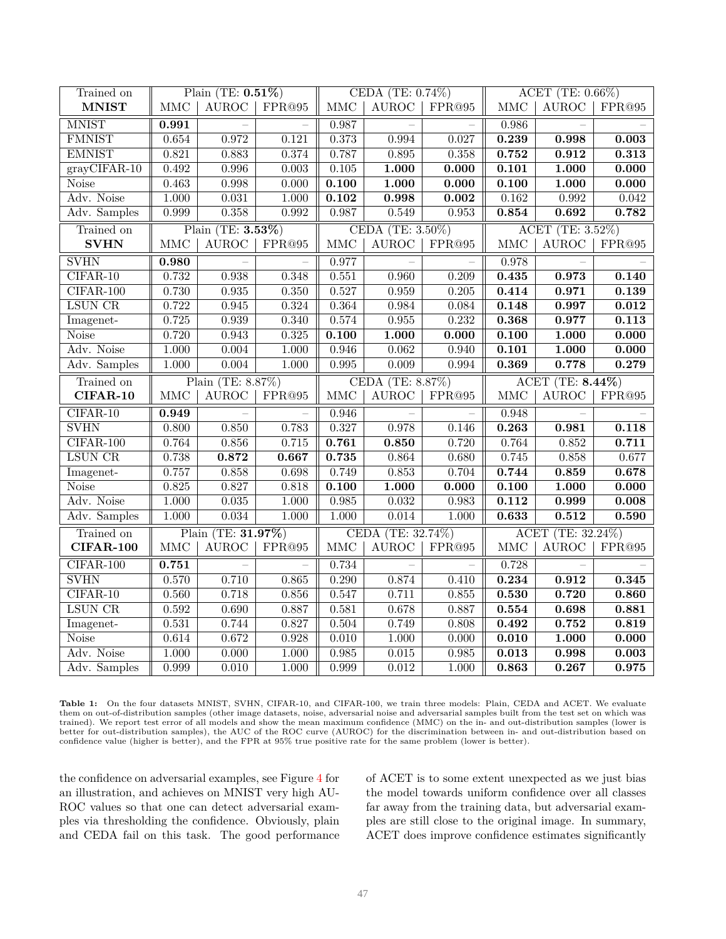| Trained on                | Plain (TE: $0.51\%$ )       |              |               |                      | CEDA (TE: 0.74%)       |        | ACET (TE: 0.66%)     |              |        |  |
|---------------------------|-----------------------------|--------------|---------------|----------------------|------------------------|--------|----------------------|--------------|--------|--|
| <b>MNIST</b>              | <b>MMC</b>                  | <b>AUROC</b> | FPR@95        | <b>MMC</b>           | <b>AUROC</b>           | FPR@95 | $\operatorname{MMC}$ | <b>AUROC</b> | FPR@95 |  |
| <b>MNIST</b>              | 0.991                       |              |               | 0.987                |                        |        | 0.986                |              |        |  |
| <b>FMNIST</b>             | 0.654                       | 0.972        | 0.121         | 0.373                | 0.994                  | 0.027  | 0.239                | 0.998        | 0.003  |  |
| <b>EMNIST</b>             | 0.821                       | 0.883        | 0.374         | 0.787                | 0.895                  | 0.358  | 0.752                | 0.912        | 0.313  |  |
| $gr\overline{ayCIFAR-10}$ | 0.492                       | 0.996        | 0.003         | $0.105\,$            | 1.000                  | 0.000  | 0.101                | 1.000        | 0.000  |  |
| <b>Noise</b>              | 0.463                       | 0.998        | 0.000         | 0.100                | 1.000                  | 0.000  | 0.100                | 1.000        | 0.000  |  |
| Adv. Noise                | 1.000                       | 0.031        | 1.000         | $\overline{0.102}$   | 0.998                  | 0.002  | 0.162                | 0.992        | 0.042  |  |
| Adv. Samples              | 0.999                       | 0.358        | 0.992         | 0.987                | 0.549                  | 0.953  | 0.854                | 0.692        | 0.782  |  |
| Trained on                | Plain (TE: 3.53%)           |              |               |                      | CEDA (TE: 3.50%)       |        | ACET (TE: 3.52%)     |              |        |  |
| <b>SVHN</b>               | <b>MMC</b>                  | <b>AUROC</b> | FPR@95        | <b>MMC</b>           | <b>AUROC</b>           | FPR@95 | <b>MMC</b>           | <b>AUROC</b> | FPR@95 |  |
| <b>SVHN</b>               | 0.980                       |              |               | 0.977                |                        |        | 0.978                |              |        |  |
| $CIFAR-10$                | 0.732                       | 0.938        | 0.348         | 0.551                | 0.960                  | 0.209  | 0.435                | 0.973        | 0.140  |  |
| $CIFAR-100$               | 0.730                       | 0.935        | 0.350         | 0.527                | 0.959                  | 0.205  | 0.414                | 0.971        | 0.139  |  |
| <b>LSUN CR</b>            | 0.722                       | 0.945        | 0.324         | 0.364                | 0.984                  | 0.084  | 0.148                | 0.997        | 0.012  |  |
| Imagenet-                 | 0.725                       | 0.939        | 0.340         | 0.574                | 0.955                  | 0.232  | 0.368                | 0.977        | 0.113  |  |
| Noise                     | 0.720                       | 0.943        | 0.325         | 0.100                | 1.000                  | 0.000  | 0.100                | 1.000        | 0.000  |  |
| Adv. Noise                | 1.000                       | 0.004        | 1.000         | 0.946                | 0.062                  | 0.940  | 0.101                | 1.000        | 0.000  |  |
| Adv. Samples              | 1.000                       | 0.004        | 1.000         | 0.995                | 0.009                  | 0.994  | 0.369                | 0.778        | 0.279  |  |
| Trained on                | Plain (TE: 8.87%)           |              |               | CEDA (TE: 8.87%)     |                        |        | ACET (TE: 8.44%)     |              |        |  |
| CIFAR-10                  | <b>MMC</b>                  | <b>AUROC</b> | FPR@95        | $\operatorname{MMC}$ | <b>AUROC</b>           | FPR@95 | MMC                  | <b>AUROC</b> | FPR@95 |  |
| $CIFAR-10$                | 0.949                       |              |               | 0.946                |                        |        | 0.948                |              |        |  |
| <b>SVHN</b>               | 0.800                       | 0.850        | 0.783         | 0.327                | 0.978                  | 0.146  | 0.263                | 0.981        | 0.118  |  |
| $CIFAR-100$               | 0.764                       | 0.856        | 0.715         | 0.761                | 0.850                  | 0.720  | 0.764                | 0.852        | 0.711  |  |
| <b>LSUN CR</b>            | 0.738                       | 0.872        | 0.667         | 0.735                | 0.864                  | 0.680  | 0.745                | 0.858        | 0.677  |  |
| Imagenet-                 | 0.757                       | 0.858        | 0.698         | 0.749                | 0.853                  | 0.704  | 0.744                | 0.859        | 0.678  |  |
| <b>Noise</b>              | 0.825                       | 0.827        | 0.818         | 0.100                | 1.000                  | 0.000  | 0.100                | 1.000        | 0.000  |  |
| Adv. Noise                | 1.000                       | 0.035        | 1.000         | 0.985                | 0.032                  | 0.983  | 0.112                | 0.999        | 0.008  |  |
| Adv. Samples              | 1.000                       | 0.034        | 1.000         | 1.000                | 0.014                  | 1.000  | 0.633                | 0.512        | 0.590  |  |
| Trained on                | Plain (TE: 31.97%)          |              |               | CEDA (TE: 32.74%)    |                        |        | ACET (TE: 32.24%)    |              |        |  |
| <b>CIFAR-100</b>          | $\ensuremath{\mathsf{MMC}}$ | <b>AUROC</b> | $\rm{FPR@95}$ | MMC                  | $\operatorname{AUROC}$ | FPR@95 | $\operatorname{MMC}$ | <b>AUROC</b> | FPR@95 |  |
| $CIFAR-100$               | 0.751                       |              |               | 0.734                |                        |        | 0.728                |              |        |  |
| <b>SVHN</b>               | 0.570                       | 0.710        | 0.865         | 0.290                | 0.874                  | 0.410  | 0.234                | 0.912        | 0.345  |  |
| $CIFAR-10$                | 0.560                       | 0.718        | 0.856         | 0.547                | 0.711                  | 0.855  | 0.530                | 0.720        | 0.860  |  |
| <b>LSUN CR</b>            | 0.592                       | 0.690        | 0.887         | 0.581                | 0.678                  | 0.887  | 0.554                | 0.698        | 0.881  |  |
| Imagenet-                 | 0.531                       | 0.744        | 0.827         | 0.504                | 0.749                  | 0.808  | 0.492                | 0.752        | 0.819  |  |
| <b>Noise</b>              | 0.614                       | 0.672        | 0.928         | $\overline{0.010}$   | 1.000                  | 0.000  | 0.010                | 1.000        | 0.000  |  |
| Adv. Noise                | 1.000                       | 0.000        | 1.000         | 0.985                | 0.015                  | 0.985  | 0.013                | 0.998        | 0.003  |  |
| Adv. Samples              | 0.999                       | 0.010        | 1.000         | 0.999                | 0.012                  | 1.000  | 0.863                | 0.267        | 0.975  |  |

**Table 1:** On the four datasets MNIST, SVHN, CIFAR-10, and CIFAR-100, we train three models: Plain, CEDA and ACET. We evaluate them on out-of-distribution samples (other image datasets, noise, adversarial noise and adversarial samples built from the test set on which was trained). We report test error of all models and show the mean maximum confidence (MMC) on the in- and out-distribution samples (lower is better for out-distribution samples), the AUC of the ROC curve (AUROC) for the discrimination between in- and out-distribution based on confidence value (higher is better), and the FPR at 95% true positive rate for the same problem (lower is better).

the confidence on adversarial examples, see Figure 4 for an illustration, and achieves on MNIST very high AU-ROC values so that one can detect adversarial examples via thresholding the confidence. Obviously, plain and CEDA fail on this task. The good performance of ACET is to some extent unexpected as we just bias the model towards uniform confidence over all classes far away from the training data, but adversarial examples are still close to the original image. In summary, ACET does improve confidence estimates significantly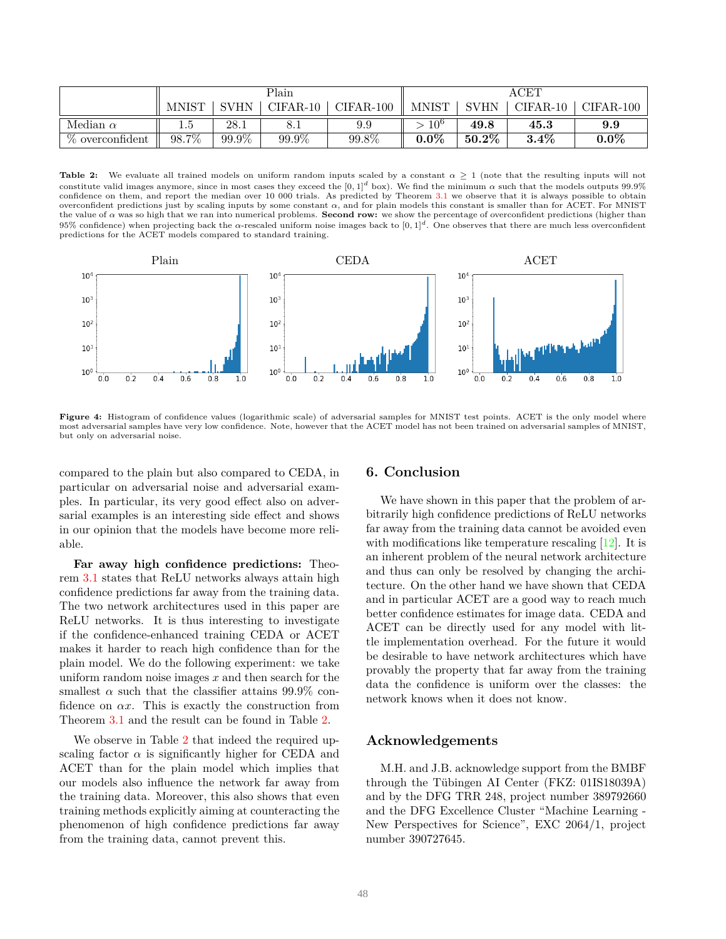|                 |                     |       | Plain    |           | $\operatorname{ACET}$ |          |          |           |
|-----------------|---------------------|-------|----------|-----------|-----------------------|----------|----------|-----------|
|                 | <b>MNIST</b>        | SVHN  | CIFAR-10 | CIFAR-100 | <b>MNIST</b>          | SVHN     | CIFAR-10 | CIFAR-100 |
| Median $\alpha$ | G.I                 | 28.1  | 8.1      | $9.9\,$   | $10^6$                | 49.8     | 45.3     | 9.9       |
| % overconfident | $98.\overline{7\%}$ | 99.9% | 99.9%    | 99.8%     | $0.0\%$               | $50.2\%$ | $3.4\%$  | $0.0\%$   |

**Table 2:** We evaluate all trained models on uniform random inputs scaled by a constant  $\alpha \geq 1$  (note that the resulting inputs will not constitute valid images anymore, since in most cases they exceed the  $[0,1]^d$  box). We find the minimum  $\alpha$  such that the models outputs 99.9% confidence on them, and report the median over 10 000 trials. As predicted by Theorem 3.1 we observe that it is always possible to obtain overconfident predictions just by scaling inputs by some constant *α*, and for plain models this constant is smaller than for ACET. For MNIST the value of *α* was so high that we ran into numerical problems. **Second row:** we show the percentage of overconfident predictions (higher than 95% confidence) when projecting back the *α*-rescaled uniform noise images back to [0*,* 1]*<sup>d</sup>* . One observes that there are much less overconfident predictions for the ACET models compared to standard training.



Figure 4: Histogram of confidence values (logarithmic scale) of adversarial samples for MNIST test points. ACET is the only model where most adversarial samples have very low confidence. Note, however that the ACET model has not been trained on adversarial samples of MNIST, but only on adversarial noise.

compared to the plain but also compared to CEDA, in particular on adversarial noise and adversarial examples. In particular, its very good effect also on adversarial examples is an interesting side effect and shows in our opinion that the models have become more reliable.

**Far away high confidence predictions:** Theorem 3.1 states that ReLU networks always attain high confidence predictions far away from the training data. The two network architectures used in this paper are ReLU networks. It is thus interesting to investigate if the confidence-enhanced training CEDA or ACET makes it harder to reach high confidence than for the plain model. We do the following experiment: we take uniform random noise images *x* and then search for the smallest  $\alpha$  such that the classifier attains 99.9% confidence on *αx*. This is exactly the construction from Theorem 3.1 and the result can be found in Table 2.

We observe in Table 2 that indeed the required upscaling factor  $\alpha$  is significantly higher for CEDA and ACET than for the plain model which implies that our models also influence the network far away from the training data. Moreover, this also shows that even training methods explicitly aiming at counteracting the phenomenon of high confidence predictions far away from the training data, cannot prevent this.

### **6. Conclusion**

We have shown in this paper that the problem of arbitrarily high confidence predictions of ReLU networks far away from the training data cannot be avoided even with modifications like temperature rescaling [12]. It is an inherent problem of the neural network architecture and thus can only be resolved by changing the architecture. On the other hand we have shown that CEDA and in particular ACET are a good way to reach much better confidence estimates for image data. CEDA and ACET can be directly used for any model with little implementation overhead. For the future it would be desirable to have network architectures which have provably the property that far away from the training data the confidence is uniform over the classes: the network knows when it does not know.

### **Acknowledgements**

M.H. and J.B. acknowledge support from the BMBF through the Tübingen AI Center (FKZ:  $01IS18039A$ ) and by the DFG TRR 248, project number 389792660 and the DFG Excellence Cluster "Machine Learning - New Perspectives for Science", EXC 2064/1, project number 390727645.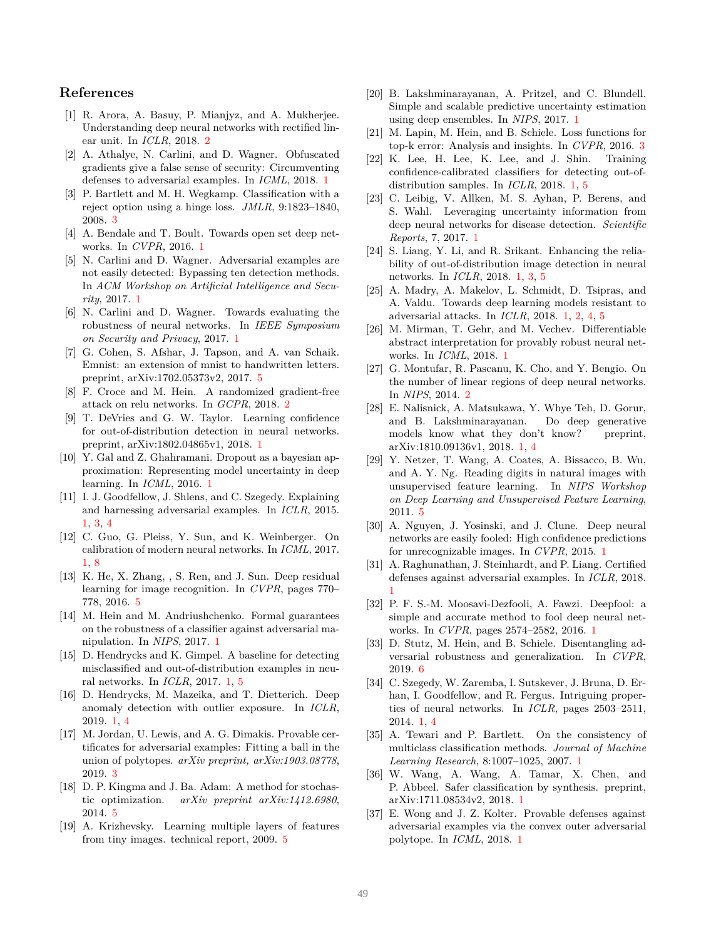### **References**

- [1] R. Arora, A. Basuy, P. Mianjyz, and A. Mukherjee. Understanding deep neural networks with rectified linear unit. In *ICLR*, 2018. 2
- [2] A. Athalye, N. Carlini, and D. Wagner. Obfuscated gradients give a false sense of security: Circumventing defenses to adversarial examples. In *ICML*, 2018. 1
- [3] P. Bartlett and M. H. Wegkamp. Classification with a reject option using a hinge loss. *JMLR*, 9:1823–1840, 2008. 3
- [4] A. Bendale and T. Boult. Towards open set deep networks. In *CVPR*, 2016. 1
- [5] N. Carlini and D. Wagner. Adversarial examples are not easily detected: Bypassing ten detection methods. In *ACM Workshop on Artificial Intelligence and Security*, 2017. 1
- [6] N. Carlini and D. Wagner. Towards evaluating the robustness of neural networks. In *IEEE Symposium on Security and Privacy*, 2017. 1
- [7] G. Cohen, S. Afshar, J. Tapson, and A. van Schaik. Emnist: an extension of mnist to handwritten letters. preprint, arXiv:1702.05373v2, 2017. 5
- [8] F. Croce and M. Hein. A randomized gradient-free attack on relu networks. In *GCPR*, 2018. 2
- [9] T. DeVries and G. W. Taylor. Learning confidence for out-of-distribution detection in neural networks. preprint, arXiv:1802.04865v1, 2018. 1
- [10] Y. Gal and Z. Ghahramani. Dropout as a bayesian approximation: Representing model uncertainty in deep learning. In *ICML*, 2016. 1
- [11] I. J. Goodfellow, J. Shlens, and C. Szegedy. Explaining and harnessing adversarial examples. In *ICLR*, 2015. 1, 3, 4
- [12] C. Guo, G. Pleiss, Y. Sun, and K. Weinberger. On calibration of modern neural networks. In *ICML*, 2017. 1, 8
- [13] K. He, X. Zhang, , S. Ren, and J. Sun. Deep residual learning for image recognition. In *CVPR*, pages 770– 778, 2016. 5
- [14] M. Hein and M. Andriushchenko. Formal guarantees on the robustness of a classifier against adversarial manipulation. In *NIPS*, 2017. 1
- [15] D. Hendrycks and K. Gimpel. A baseline for detecting misclassified and out-of-distribution examples in neural networks. In *ICLR*, 2017. 1, 5
- [16] D. Hendrycks, M. Mazeika, and T. Dietterich. Deep anomaly detection with outlier exposure. In *ICLR*, 2019. 1, 4
- [17] M. Jordan, U. Lewis, and A. G. Dimakis. Provable certificates for adversarial examples: Fitting a ball in the union of polytopes. *arXiv preprint, arXiv:1903.08778*, 2019. 3
- [18] D. P. Kingma and J. Ba. Adam: A method for stochastic optimization. *arXiv preprint arXiv:1412.6980*, 2014. 5
- [19] A. Krizhevsky. Learning multiple layers of features from tiny images. technical report, 2009. 5
- [20] B. Lakshminarayanan, A. Pritzel, and C. Blundell. Simple and scalable predictive uncertainty estimation using deep ensembles. In *NIPS*, 2017. 1
- [21] M. Lapin, M. Hein, and B. Schiele. Loss functions for top-k error: Analysis and insights. In *CVPR*, 2016. 3
- [22] K. Lee, H. Lee, K. Lee, and J. Shin. Training confidence-calibrated classifiers for detecting out-ofdistribution samples. In *ICLR*, 2018. 1, 5
- [23] C. Leibig, V. Allken, M. S. Ayhan, P. Berens, and S. Wahl. Leveraging uncertainty information from deep neural networks for disease detection. *Scientific Reports*, 7, 2017. 1
- [24] S. Liang, Y. Li, and R. Srikant. Enhancing the reliability of out-of-distribution image detection in neural networks. In *ICLR*, 2018. 1, 3, 5
- [25] A. Madry, A. Makelov, L. Schmidt, D. Tsipras, and A. Valdu. Towards deep learning models resistant to adversarial attacks. In *ICLR*, 2018. 1, 2, 4, 5
- [26] M. Mirman, T. Gehr, and M. Vechev. Differentiable abstract interpretation for provably robust neural networks. In *ICML*, 2018. 1
- [27] G. Montufar, R. Pascanu, K. Cho, and Y. Bengio. On the number of linear regions of deep neural networks. In *NIPS*, 2014. 2
- [28] E. Nalisnick, A. Matsukawa, Y. Whye Teh, D. Gorur, and B. Lakshminarayanan. Do deep generative models know what they don't know? preprint, arXiv:1810.09136v1, 2018. 1, 4
- [29] Y. Netzer, T. Wang, A. Coates, A. Bissacco, B. Wu, and A. Y. Ng. Reading digits in natural images with unsupervised feature learning. In *NIPS Workshop on Deep Learning and Unsupervised Feature Learning*, 2011. 5
- [30] A. Nguyen, J. Yosinski, and J. Clune. Deep neural networks are easily fooled: High confidence predictions for unrecognizable images. In *CVPR*, 2015. 1
- [31] A. Raghunathan, J. Steinhardt, and P. Liang. Certified defenses against adversarial examples. In *ICLR*, 2018. 1
- [32] P. F. S.-M. Moosavi-Dezfooli, A. Fawzi. Deepfool: a simple and accurate method to fool deep neural networks. In *CVPR*, pages 2574–2582, 2016. 1
- [33] D. Stutz, M. Hein, and B. Schiele. Disentangling adversarial robustness and generalization. In *CVPR*, 2019. 6
- [34] C. Szegedy, W. Zaremba, I. Sutskever, J. Bruna, D. Erhan, I. Goodfellow, and R. Fergus. Intriguing properties of neural networks. In *ICLR*, pages 2503–2511, 2014. 1, 4
- [35] A. Tewari and P. Bartlett. On the consistency of multiclass classification methods. *Journal of Machine Learning Research*, 8:1007–1025, 2007. 1
- [36] W. Wang, A. Wang, A. Tamar, X. Chen, and P. Abbeel. Safer classification by synthesis. preprint, arXiv:1711.08534v2, 2018. 1
- [37] E. Wong and J. Z. Kolter. Provable defenses against adversarial examples via the convex outer adversarial polytope. In *ICML*, 2018. 1